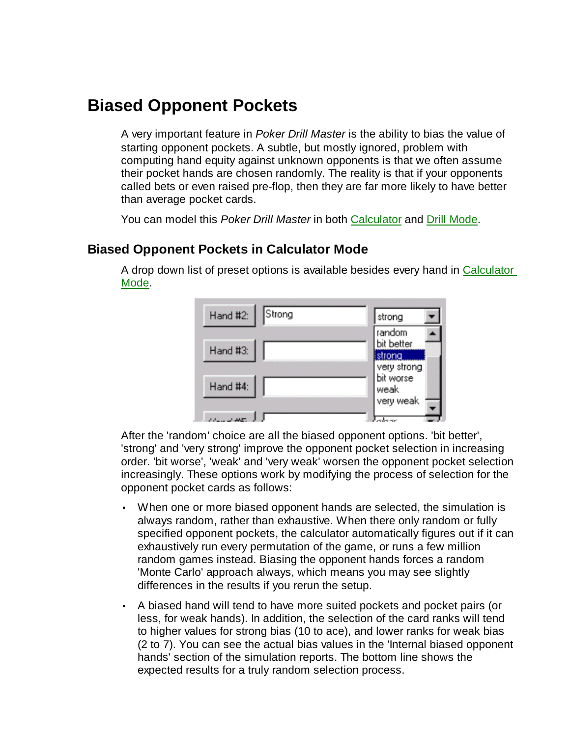## **Biased Opponent Pockets**

A very important feature in *Poker Drill Master* is the ability to bias the value of starting opponent pockets. A subtle, but mostly ignored, problem with computing hand equity against unknown opponents is that we often assume their pocket hands are chosen randomly. The reality is that if your opponents called bets or even raised pre-flop, then they are far more likely to have better than average pocket cards.

You can model this *Poker Drill Master* in both Calculator and Drill Mode.

## **Biased Opponent Pockets in Calculator Mode**

A drop down list of preset options is available besides every hand in Calculator Mode.

| Hand #2: Strong | strong                             |
|-----------------|------------------------------------|
| Hand #3:        | random<br>bit better               |
|                 | strong<br>very strong<br>bit worse |
| Hand #4:        | weak<br>very weak                  |
| للغاف بالدواد   |                                    |

After the 'random' choice are all the biased opponent options. 'bit better', 'strong' and 'very strong' improve the opponent pocket selection in increasing order. 'bit worse', 'weak' and 'very weak' worsen the opponent pocket selection increasingly. These options work by modifying the process of selection for the opponent pocket cards as follows:

- When one or more biased opponent hands are selected, the simulation is always random, rather than exhaustive. When there only random or fully specified opponent pockets, the calculator automatically figures out if it can exhaustively run every permutation of the game, or runs a few million random games instead. Biasing the opponent hands forces a random 'Monte Carlo' approach always, which means you may see slightly differences in the results if you rerun the setup.
- A biased hand will tend to have more suited pockets and pocket pairs (or less, for weak hands). In addition, the selection of the card ranks will tend to higher values for strong bias (10 to ace), and lower ranks for weak bias (2 to 7). You can see the actual bias values in the 'Internal biased opponent hands' section of the simulation reports. The bottom line shows the expected results for a truly random selection process.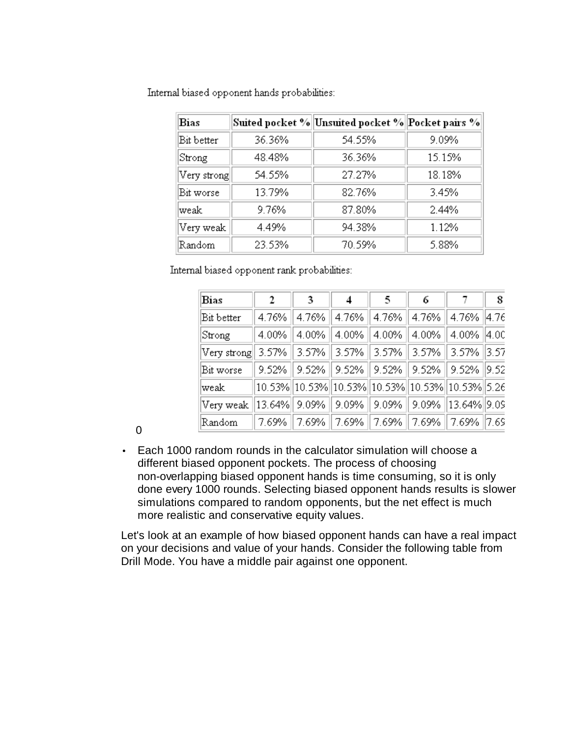| Bias        |        | Suited pocket %  Unsuited pocket %  Pocket pairs % |        |
|-------------|--------|----------------------------------------------------|--------|
| Bit better  | 36.36% | 54.55%                                             | 9.09%  |
| Strong      | 48.48% | 36.36%                                             | 15.15% |
| Very strong | 54.55% | 27.27%                                             | 18.18% |
| Bit worse   | 13.79% | 82.76%                                             | 3.45%  |
| lweak       | 9.76%  | 87.80%                                             | 2.44%  |
| Very weak   | 4.49%  | 94.38%                                             | 1.12%  |
| Random      | 23.53% | 70.59%                                             | 5.88%  |

Internal biased opponent hands probabilities:

Internal biased opponent rank probabilities:

| Bias                                                                    | 2        | 3                                                                                                          | 4 | 5 | 6 | 8 |
|-------------------------------------------------------------------------|----------|------------------------------------------------------------------------------------------------------------|---|---|---|---|
| Bit better                                                              | $4.76\%$ | 4.76%    4.76%    4.76%    4.76%    4.76%   4.76                                                           |   |   |   |   |
| Strong                                                                  | $4.00\%$ | $\parallel$ 4.00% $\parallel$ 4.00% $\parallel$ 4.00% $\parallel$ 4.00% $\parallel$ 4.00% $\parallel$ 4.00 |   |   |   |   |
| Very strong   3.57%    3.57%    3.57%    3.57%    3.57%    3.57%   3.57 |          |                                                                                                            |   |   |   |   |
| Bit worse                                                               |          | 9.52%    9.52%    9.52%    9.52%    9.52%    9.52%   9.52                                                  |   |   |   |   |
| weak                                                                    |          | 10.53%  10.53%  10.53%  10.53%  10.53%  10.53%  5.26                                                       |   |   |   |   |
| Very weak   13.64%   9.09%    9.09%    9.09%    9.09%   13.64%  9.09    |          |                                                                                                            |   |   |   |   |
| Random                                                                  |          | 7.69%   7.69%   7.69%   7.69%   7.69%   7.69%   7.65                                                       |   |   |   |   |

 $\Omega$ 

• Each 1000 random rounds in the calculator simulation will choose a different biased opponent pockets. The process of choosing non-overlapping biased opponent hands is time consuming, so it is only done every 1000 rounds. Selecting biased opponent hands results is slower simulations compared to random opponents, but the net effect is much more realistic and conservative equity values.

Let's look at an example of how biased opponent hands can have a real impact on your decisions and value of your hands. Consider the following table from Drill Mode. You have a middle pair against one opponent.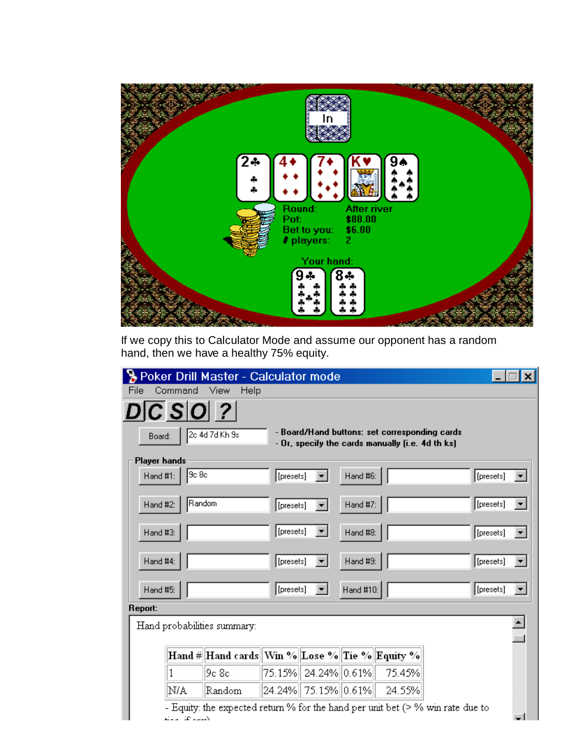

If we copy this to Calculator Mode and assume our opponent has a random hand, then we have a healthy 75% equity.

|                     |                    | Poker Drill Master - Calculator mode                                             |           |  |           |                                                                                                   |  |           |  |
|---------------------|--------------------|----------------------------------------------------------------------------------|-----------|--|-----------|---------------------------------------------------------------------------------------------------|--|-----------|--|
| File                | Command            | Help<br>View                                                                     |           |  |           |                                                                                                   |  |           |  |
|                     | DC SO ?            |                                                                                  |           |  |           |                                                                                                   |  |           |  |
| Board:              |                    | 2c 4d 7d Kh 9s                                                                   |           |  |           | - Board/Hand buttons: set corresponding cards<br>- Or, specify the cards manually (i.e. 4d th ks) |  |           |  |
| <b>Player hands</b> |                    |                                                                                  |           |  |           |                                                                                                   |  |           |  |
| Hand #1:            | 9c8c               |                                                                                  | [presets] |  | Hand #6:  |                                                                                                   |  | [presets] |  |
| Hand #2:            | Random             |                                                                                  | [presets] |  | Hand #7:  |                                                                                                   |  | [presets] |  |
| Hand #3:            |                    |                                                                                  | [presets] |  | Hand #8:  |                                                                                                   |  | [presets] |  |
| Hand #4:            |                    |                                                                                  | [presets] |  | Hand #9:  |                                                                                                   |  | [presets] |  |
| Hand #5:            |                    |                                                                                  | [presets] |  | Hand #10: |                                                                                                   |  | [presets] |  |
| Report:             |                    |                                                                                  |           |  |           |                                                                                                   |  |           |  |
|                     |                    | Hand probabilities summary:                                                      |           |  |           |                                                                                                   |  |           |  |
|                     |                    | Hand #  Hand cards  Win %  Lose %  Tie %  Equity %                               |           |  |           |                                                                                                   |  |           |  |
|                     | 1                  | 9c 8c                                                                            |           |  |           | 75.15%   24.24%  0.61%   75.45%                                                                   |  |           |  |
|                     | N/A                | Random                                                                           |           |  |           | 24.24% 75.15% 0.61% 24.55%                                                                        |  |           |  |
|                     | المعمد تكذا المملة | - Equity: the expected return % for the hand per unit bet $(>$ % win rate due to |           |  |           |                                                                                                   |  |           |  |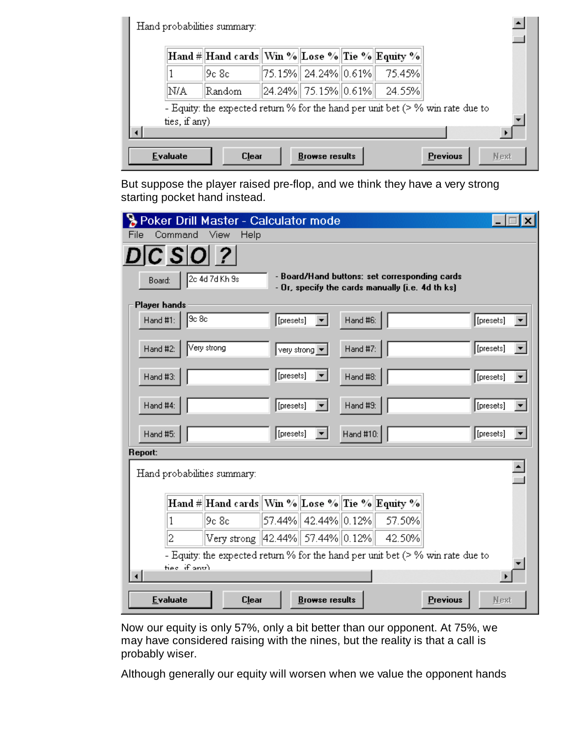|               | Hand #  Hand cards  Win %  Lose %  Tie %  Equity % |  |                                         |                                                                                  |
|---------------|----------------------------------------------------|--|-----------------------------------------|----------------------------------------------------------------------------------|
|               | l9c 8c.                                            |  | 75.15%   24.24%  0.61%   = 75.45%       |                                                                                  |
| N/A           | Random                                             |  | $  24.24\%  75.15\%  0.61\%  24.55\%  $ |                                                                                  |
| ties, if any) |                                                    |  |                                         | - Equity: the expected return % for the hand per unit bet $(>$ % win rate due to |
|               |                                                    |  |                                         |                                                                                  |

But suppose the player raised pre-flop, and we think they have a very strong starting pocket hand instead.

|                                  | Poker Drill Master - Calculator mode                                              |                                                  |           |                 |           |  |
|----------------------------------|-----------------------------------------------------------------------------------|--------------------------------------------------|-----------|-----------------|-----------|--|
| Command<br>File                  | View<br>Help                                                                      |                                                  |           |                 |           |  |
| Board:                           | 2c 4d 7d Kh 9s                                                                    | - Board/Hand buttons: set corresponding cards    |           |                 |           |  |
|                                  |                                                                                   | - Or, specify the cards manually (i.e. 4d th ks) |           |                 |           |  |
| Player hands<br>9c8c<br>Hand #1: | [presets]                                                                         |                                                  | Hand #6:  |                 | [presets] |  |
| Very strong<br>Hand #2:          |                                                                                   | very strong v                                    | Hand #7:  |                 | [presets] |  |
| Hand #3:                         | [presets]                                                                         |                                                  | Hand #8:  |                 | [presets] |  |
| Hand #4:                         | [presets]                                                                         | ▾∣                                               | Hand #9:  |                 | [presets] |  |
| Hand #5:                         | [presets]                                                                         | ▾╎                                               | Hand #10: |                 | [presets] |  |
| Report:                          |                                                                                   |                                                  |           |                 |           |  |
| Hand probabilities summary:      |                                                                                   |                                                  |           |                 |           |  |
|                                  | Hand #  Hand cards  Win %  Lose %  Tie %  Equity %                                |                                                  |           |                 |           |  |
| 1                                | l9c 8c                                                                            | 57.44%   42.44%  0.12%   = 57.50%                |           |                 |           |  |
| 2                                | Very strong   42.44%   57.44%   0.12%   42.50%                                    |                                                  |           |                 |           |  |
|                                  | - Equity: the expected return % for the hand per unit bet $($ > % win rate due to |                                                  |           |                 |           |  |
| ties if any)                     |                                                                                   |                                                  |           |                 |           |  |
| <b>Evaluate</b>                  | <b>Clear</b>                                                                      | <b>Browse results</b>                            |           | <b>Previous</b> | Next      |  |

Now our equity is only 57%, only a bit better than our opponent. At 75%, we may have considered raising with the nines, but the reality is that a call is probably wiser.

Although generally our equity will worsen when we value the opponent hands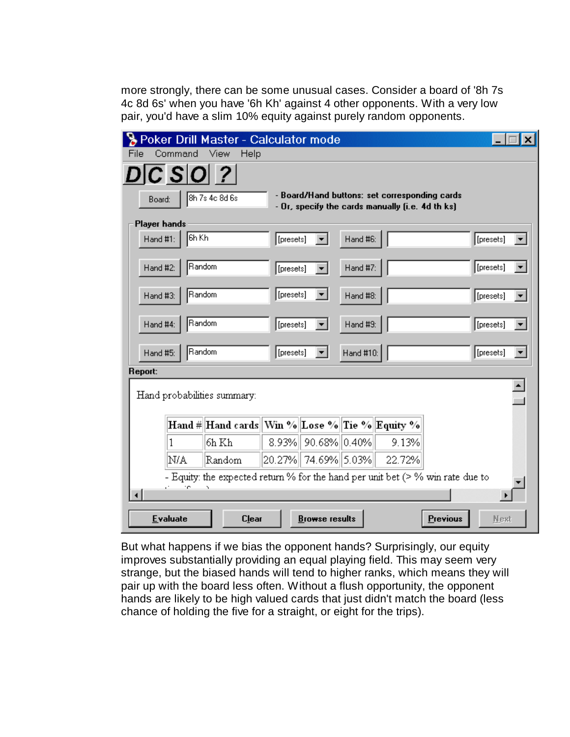more strongly, there can be some unusual cases. Consider a board of '8h 7s 4c 8d 6s' when you have '6h Kh' against 4 other opponents. With a very low pair, you'd have a slim 10% equity against purely random opponents.

|                     | Poker Drill Master - Calculator mode |                                                                                  |           |                       |           |                                                                                                   |                 |           |  |
|---------------------|--------------------------------------|----------------------------------------------------------------------------------|-----------|-----------------------|-----------|---------------------------------------------------------------------------------------------------|-----------------|-----------|--|
| File                | Command                              | <b>View</b><br>Help                                                              |           |                       |           |                                                                                                   |                 |           |  |
|                     | $ C S O $ ?                          |                                                                                  |           |                       |           |                                                                                                   |                 |           |  |
| Board:              |                                      | 8h 7s 4c 8d 6s                                                                   |           |                       |           | - Board/Hand buttons: set corresponding cards<br>- Or, specify the cards manually (i.e. 4d th ks) |                 |           |  |
| <b>Player hands</b> |                                      |                                                                                  |           |                       |           |                                                                                                   |                 |           |  |
| Hand #1:            | 6h Kh                                |                                                                                  | [presets] |                       | Hand #6:  |                                                                                                   |                 | [presets] |  |
| Hand #2:            | Random                               |                                                                                  | [presets] |                       | Hand #7:  |                                                                                                   |                 | [presets] |  |
| Hand #3:            | Random                               |                                                                                  | [presets] |                       | Hand #8:  |                                                                                                   |                 | [presets] |  |
| Hand #4:            | Random                               |                                                                                  | [presets] |                       | Hand #9:  |                                                                                                   |                 | [presets] |  |
| Hand #5:            | Random                               |                                                                                  | [presets] |                       | Hand #10: |                                                                                                   |                 | [presets] |  |
| Report:             |                                      |                                                                                  |           |                       |           |                                                                                                   |                 |           |  |
|                     |                                      | Hand probabilities summary:                                                      |           |                       |           |                                                                                                   |                 |           |  |
|                     |                                      | Hand #  Hand cards  Win %  Lose %  Tie %  Equity %                               |           |                       |           |                                                                                                   |                 |           |  |
|                     |                                      | 6h Kh                                                                            |           | 8.93% 90.68% 0.40%    |           | 9.13%                                                                                             |                 |           |  |
|                     | N/A                                  | Random                                                                           |           |                       |           | 20.27%   74.69%   5.03%   22.72%                                                                  |                 |           |  |
|                     | re.                                  | - Equity: the expected return % for the hand per unit bet $(>$ % win rate due to |           |                       |           |                                                                                                   |                 |           |  |
|                     | <b>Evaluate</b>                      | <b>Clear</b>                                                                     |           | <b>Browse results</b> |           |                                                                                                   | <b>Previous</b> | Next      |  |

But what happens if we bias the opponent hands? Surprisingly, our equity improves substantially providing an equal playing field. This may seem very strange, but the biased hands will tend to higher ranks, which means they will pair up with the board less often. Without a flush opportunity, the opponent hands are likely to be high valued cards that just didn't match the board (less chance of holding the five for a straight, or eight for the trips).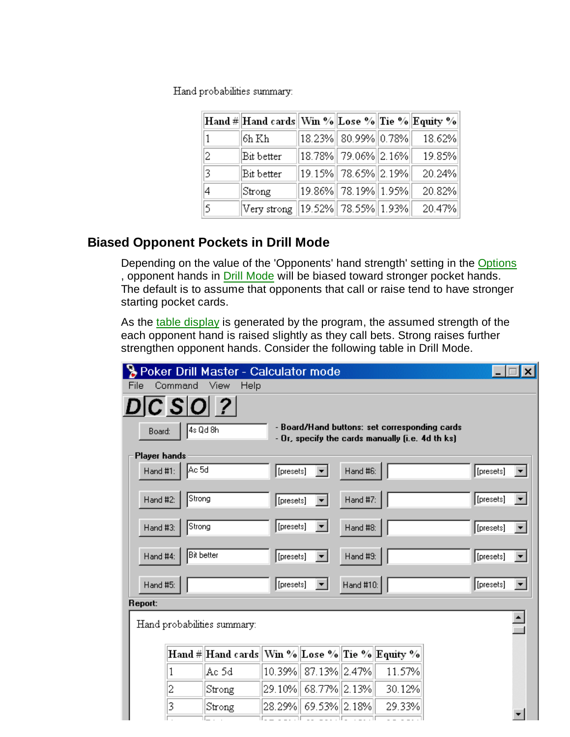Hand probabilities summary:

|    | Hand #  Hand cards  Win %  Lose %  Tie %  Equity % |                                     |        |
|----|----------------------------------------------------|-------------------------------------|--------|
| 1  | 6h Kh                                              | $ 18.23\% $ 80.99% $ 0.78\% $       | 18.62% |
| 2  | Bit better                                         | $\ 18.78\% \  79.06\% \  2.16\% \ $ | 19.85% |
| 13 | Bit better                                         | 19.15%   78.65%  2.19%              | 20.24% |
| 4  | Strong                                             | 19.86%   78.19%   1.95%             | 20.82% |
| 5  | Very strong   19.52%   78.55%  1.93%               |                                     | 20.47% |

## **Biased Opponent Pockets in Drill Mode**

Depending on the value of the 'Opponents' hand strength' setting in the Options , opponent hands in Drill Mode will be biased toward stronger pocket hands. The default is to assume that opponents that call or raise tend to have stronger starting pocket cards.

As the table display is generated by the program, the assumed strength of the each opponent hand is raised slightly as they call bets. Strong raises further strengthen opponent hands. Consider the following table in Drill Mode.

|              |                      | Poker Drill Master - Calculator mode                |           |                        |           |                                                                                                   |           |  |
|--------------|----------------------|-----------------------------------------------------|-----------|------------------------|-----------|---------------------------------------------------------------------------------------------------|-----------|--|
| File         | Command              | – View<br>Help                                      |           |                        |           |                                                                                                   |           |  |
|              | $D\overline{C}$ SO ? |                                                     |           |                        |           |                                                                                                   |           |  |
| Board:       |                      | 4s Qd 8h                                            |           |                        |           | - Board/Hand buttons: set corresponding cards<br>- Or, specify the cards manually (i.e. 4d th ks) |           |  |
| Player hands |                      |                                                     |           |                        |           |                                                                                                   |           |  |
| Hand #1:     | Ac 5d                |                                                     | [presets] |                        | Hand #6:  |                                                                                                   | [presets] |  |
| Hand #2:     | Strong               |                                                     | [presets] |                        | Hand #7:  |                                                                                                   | [presets] |  |
| Hand #3:     | Strong               |                                                     | [presets] | ▾╎                     | Hand #8:  |                                                                                                   | [presets] |  |
| Hand #4:     | <b>Bit better</b>    |                                                     | [presets] |                        | Hand #9:  |                                                                                                   | [presets] |  |
| Hand #5:     |                      |                                                     | [presets] | $\mathbf{v}$           | Hand #10: |                                                                                                   | [presets] |  |
| Report:      |                      |                                                     |           |                        |           |                                                                                                   |           |  |
|              |                      | Hand probabilities summary:                         |           |                        |           |                                                                                                   |           |  |
|              |                      | Hand #  Hand cards   Win %  Lose %  Tie %  Equity % |           |                        |           |                                                                                                   |           |  |
|              | 1                    | Ac 5d                                               |           | 10.39% 37.13% 2.47%    |           | 11.57%                                                                                            |           |  |
|              | 2                    | Strong                                              |           | 29.10%   68.77%  2.13% |           | 30.12%                                                                                            |           |  |
|              | 3                    | Strong                                              |           | 28.29%   69.53%  2.18% |           | 29.33%                                                                                            |           |  |
|              |                      |                                                     |           |                        |           |                                                                                                   |           |  |